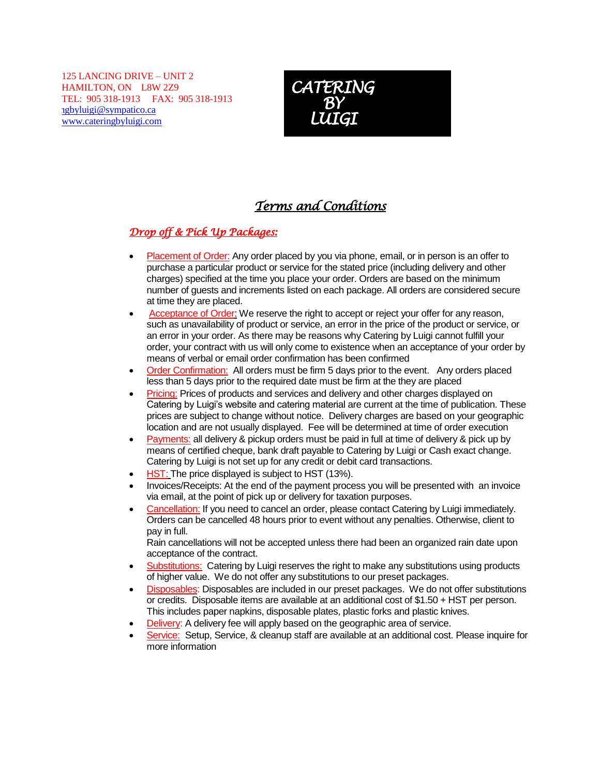125 LANCING DRIVE – UNIT 2 HAMILTON, ON L8W 2Z9 TEL: 905 318-1913 FAX: 905 318-1913 ngbyluigi@sympatico.ca [www.cateringbyluigi.com](http://www.cateringbyluigi.com/)



# *Terms and Conditions*

## *Drop off & Pick Up Packages:*

- Placement of Order: Any order placed by you via phone, email, or in person is an offer to purchase a particular product or service for the stated price (including delivery and other charges) specified at the time you place your order. Orders are based on the minimum number of guests and increments listed on each package. All orders are considered secure at time they are placed.
- Acceptance of Order: We reserve the right to accept or reject your offer for any reason, such as unavailability of product or service, an error in the price of the product or service, or an error in your order. As there may be reasons why Catering by Luigi cannot fulfill your order, your contract with us will only come to existence when an acceptance of your order by means of verbal or email order confirmation has been confirmed
- Order Confirmation: All orders must be firm 5 days prior to the event. Any orders placed less than 5 days prior to the required date must be firm at the they are placed
- Pricing: Prices of products and services and delivery and other charges displayed on Catering by Luigi's website and catering material are current at the time of publication. These prices are subject to change without notice. Delivery charges are based on your geographic location and are not usually displayed. Fee will be determined at time of order execution
- Payments: all delivery & pickup orders must be paid in full at time of delivery & pick up by means of certified cheque, bank draft payable to Catering by Luigi or Cash exact change. Catering by Luigi is not set up for any credit or debit card transactions.
- HST: The price displayed is subject to HST (13%).
- Invoices/Receipts: At the end of the payment process you will be presented with an invoice via email, at the point of pick up or delivery for taxation purposes.
- Cancellation: If you need to cancel an order, please contact Catering by Luigi immediately. Orders can be cancelled 48 hours prior to event without any penalties. Otherwise, client to pay in full.

Rain cancellations will not be accepted unless there had been an organized rain date upon acceptance of the contract.

- Substitutions: Catering by Luigi reserves the right to make any substitutions using products of higher value. We do not offer any substitutions to our preset packages.
- Disposables: Disposables are included in our preset packages. We do not offer substitutions or credits. Disposable items are available at an additional cost of \$1.50 + HST per person. This includes paper napkins, disposable plates, plastic forks and plastic knives.
- Delivery: A delivery fee will apply based on the geographic area of service.
- Service: Setup, Service, & cleanup staff are available at an additional cost. Please inquire for more information